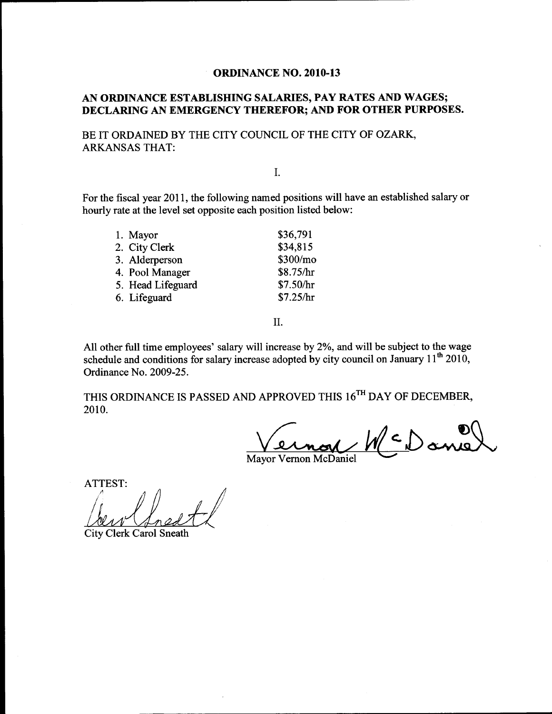#### AN ORDINANCE ESTABLISHING SALARIES, PAY RATES AND WAGES; DECLARING AN EMERGENCY THEREFOR; AND FOR OTHER PURPOSES.

BE IT ORDAINED BY THE CITY COUNCIL OF THE CITY OF OZARK, ARKANSAS THAT:

#### I.

For the fiscal year 2011, the following named positions will have an established salary or hourly rate at the level set opposite each position listed below:

| 1. Mayor          | \$36,791  |
|-------------------|-----------|
| 2. City Clerk     | \$34,815  |
| 3. Alderperson    | \$300/mo  |
| 4. Pool Manager   | \$8.75/hr |
| 5. Head Lifeguard | \$7.50/hr |
| 6. Lifeguard      | \$7.25/hr |
|                   |           |

II.

All other full time employees' salary will increase by 2%, and will be subject to the wage schedule and conditions for salary increase adopted by city council on January  $11<sup>th</sup> 2010$ , Ordinance No. 2009-25.

THIS ORDINANCE IS PASSED AND APPROVED THIS 16<sup>TH</sup> DAY OF DECEMBER, 2010.

 $\zeta\in\mathbb{D}$ an <u>in</u>

Mayor Vernon McDaniel

ATTEST:

City Clerk Carol Sneath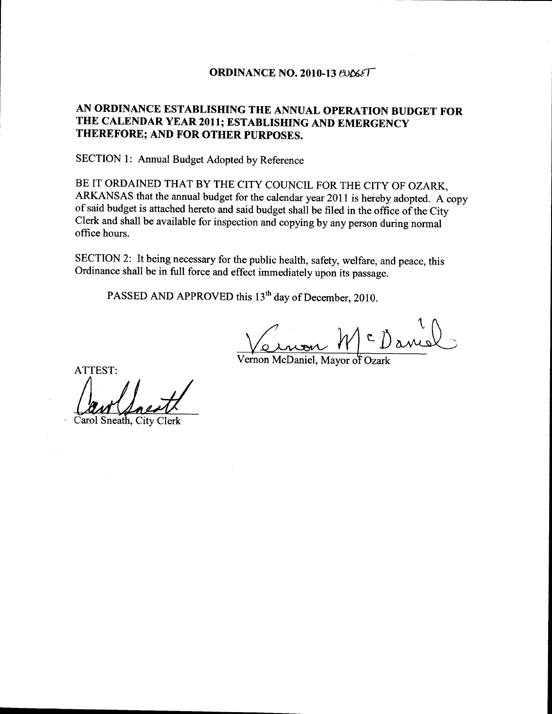#### ORDINANCE NO. 2010-13  $BOSET$

## AN ORDINANCE ESTABLISHING THE ANNUAL OPERATION BUDGET FOR THE CALENDAR YEAR 2011; ESTABLISHING AND EMERGENCY THEREFORE; AND FOR OTHER PURPOSES.

SECTION 1: Annual Budget Adopted by Reference

BE IT ORDAINED THAT BY THE CITY COUNCIL FOR THE CITY OF OZARK, ARKANSAS that the annual budget for the calendar year 2011 is hereby adopted. A copy of said budget is attached hereto and said budget shall be filed in the office of the City Clerk and shall be available for inspection and copying by any person during normal office hours.

SECTION 2: It being necessary for the public health, safety, welfare, and peace, this Ordinance shall be in full force and effect immediately upon its passage.

PASSED AND APPROVED this 13<sup>th</sup> day of December, 2010.

 $\sqrt{\Omega}$ Vernon M<sup>c</sup>Daniel<br>Vernon McDaniel, Mayor of Ozark

ATTEST:

Carol Sneath, City Clerk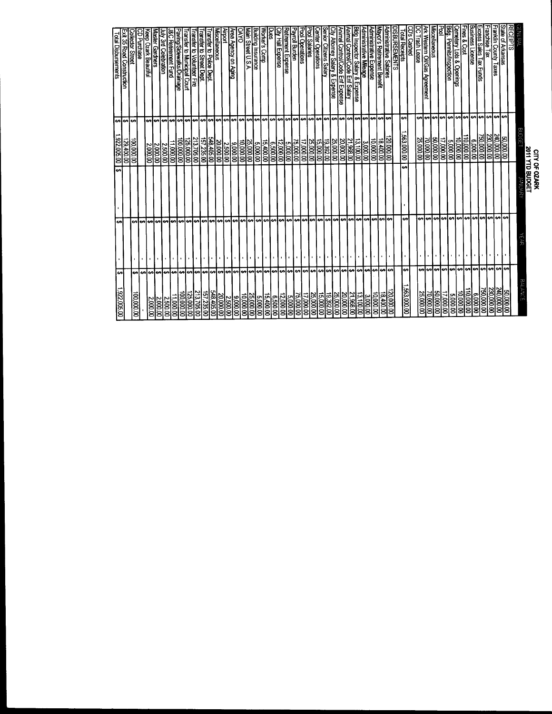|                                                      |                |                   |                 |                                 |                                             | otal Disbursements                                                 |
|------------------------------------------------------|----------------|-------------------|-----------------|---------------------------------|---------------------------------------------|--------------------------------------------------------------------|
| اھ€<br>00'900'26'1                                   |                | €A                | ⊷               | 922,005.00                      | ⇔                                           |                                                                    |
|                                                      |                |                   |                 | 00 00 00                        | ⇔                                           | 35 Road Construction                                               |
| 000000                                               |                | ↮                 |                 | 00.000.00                       | ⊷                                           | lector Street                                                      |
| မာမာ                                                 |                | ഗ                 |                 |                                 |                                             | Purchase                                                           |
| ٣<br>2,000.00                                        |                | ⊷                 |                 | 00'000'Z                        | ₩                                           | p Ozark Beautiful                                                  |
|                                                      |                | e۶                |                 | 000.00                          | lမာ                                         | Ster<br><b>Gardners</b>                                            |
| မာမာ<br>11,000.00<br> 2,500.00<br> 2,000.00          |                | e۶                |                 | 00'00'Z                         | ۰n                                          | 3rd Celebration                                                    |
| ۰n                                                   |                | €A                |                 | 11,000.00                       | <b>SA</b>                                   | Retirement Fund                                                    |
| 00,000,001                                           |                |                   |                 | 00.000,00                       | ₩                                           | wing/Sidewalks/Drainage                                            |
| 25,000.00                                            |                | မားမာ             |                 | 25,000.00                       | مهرمه                                       | anster to Volunteer Fire<br>anster to Municipal Court              |
| မှာမြာမ<br>213,705.00                                |                |                   |                 | 213,705.00                      |                                             |                                                                    |
| 157,235.00                                           |                |                   |                 | 157,235.00                      |                                             | nsfer to<br><b>Street Dept.</b>                                    |
|                                                      |                | မာမာမာ            |                 | 548,405.00                      |                                             | ansfer to Police Dept.                                             |
| 00 900 02<br>00 000 02                               |                |                   |                 | 20,000.00                       | မားမားမာ                                    | cellaneous                                                         |
| 2,500.00                                             |                |                   |                 | 00'00'Z                         | lఱ                                          |                                                                    |
| <u> မျမျမျမျမျမျမျမျမျမျမျမျမျမျမျမျမျမ</u><br>00000 |                |                   |                 | 00'000'6                        |                                             | rea Agency on Aging                                                |
|                                                      |                |                   |                 | 000000                          |                                             | ℥                                                                  |
| 25,000.00<br>10,000.00                               |                |                   |                 | 25,000.00                       |                                             | ain Street U.S.A.                                                  |
|                                                      |                |                   |                 | cn<br>00000                     |                                             | ailding Insurance                                                  |
| $\frac{15,400.00}{60,000.00}$                        | $\bullet$      |                   |                 | 15,400.00                       |                                             | orker's Comp                                                       |
| 00:00:9                                              |                |                   |                 | თ<br>00.00                      |                                             |                                                                    |
|                                                      |                |                   |                 | $\frac{12,000.00}{2}$           |                                             | ?etirement Expense<br>City Hall Expense                            |
| $\frac{5,000,00}{12,000,00}$                         | $\blacksquare$ |                   |                 | 0010019                         |                                             |                                                                    |
| 75,000.00                                            |                |                   |                 | 00'000'94                       |                                             | yroll Burden                                                       |
| 00'000'11                                            |                |                   |                 | 17,000.00                       |                                             | ol Operations                                                      |
| 25,000.00                                            | ٠.             |                   |                 | 25,000.00                       |                                             | ol Salaries                                                        |
| 15,000.00                                            |                |                   |                 | 00000131                        |                                             | ter Operations                                                     |
| 19,392.00                                            |                |                   |                 | 19,392.00                       |                                             | ior Citizens Salary                                                |
|                                                      |                |                   |                 | <u>25,000.00</u>                |                                             | ly Attorney Salary & Expense                                       |
| 20,000.00<br><u>25,000.00</u>                        |                |                   |                 |                                 | <u> မျမျမျမျမျမျမျမျမျမျမျမျမျမျမျမျမျမ</u> | E<br>Control/Code Enf Expense                                      |
| 21,968.00                                            | ٠<br>e۶        |                   |                 | 21,968.00<br>20,000.00          |                                             | imai Control/Code Enf Salary                                       |
| 0000151                                              | <b>tn</b>      |                   |                 | 13,100.00                       |                                             | kig Inspector Salary & Expense                                     |
| 3,000.00                                             | ۰              |                   |                 |                                 |                                             | ministrative Mileage                                               |
| 00000100                                             |                |                   |                 |                                 |                                             | ninistrative Expense                                               |
| 18,400.00                                            | မာမာမာ         | မာမာမာ            |                 | 18.400.00                       | e۰                                          | or's Retirement Benefit                                            |
| 00'00'02                                             |                | lఱ                |                 | 20,000.00                       | e                                           | ministrative Salaries                                              |
|                                                      |                |                   |                 |                                 |                                             | <u>sbursements</u>                                                 |
| 563,000.00                                           | lఱ             | ↮                 | ⊷               | ,563,000.00                     | ↮                                           | otal Receipts                                                      |
|                                                      |                |                   |                 |                                 |                                             | 2<br>Cashed                                                        |
| 25,000.00                                            | e,             |                   |                 | 25,000.00                       | ŧ٩                                          | Trash Lease                                                        |
| 70,000.00                                            | اوی            |                   |                 | 00.000.00                       | ⊷                                           | <i>l</i> iscellaneous<br>Ark Western Oil/Gas /<br><b>Agreement</b> |
|                                                      | $\cdot$<br>₩   |                   |                 | 000009                          | lی                                          |                                                                    |
| 30,000.00<br>50,000.00                               | မျမမျမမျမမျမ   | ക്രിക്രിക്രിക്    |                 | 3,000.00<br>17,000.00           | e,                                          | ŝ.<br>Permits/Inspection                                           |
| 5,000.00                                             |                |                   |                 |                                 | <b>SP</b>                                   |                                                                    |
|                                                      | $\blacksquare$ |                   |                 | 10,000.00                       |                                             | emetery Lots & Openings                                            |
| 0010011                                              |                |                   |                 | $\frac{6,000,00}{00,000,00}$    | မှာ မှာ မှာ မှာ မှာ မှာ                     | $\frac{1}{8}$ Cost                                                 |
| 6,000.00                                             | $\bullet$      |                   |                 |                                 |                                             | iness License                                                      |
|                                                      |                |                   |                 | 00 000 09                       |                                             | ss Sales Tax Funds                                                 |
| 240,000.00<br>230,000.00<br><u>750,000.00</u>        |                | കികികികികി        |                 | 240,000.00<br><u>230,000.00</u> |                                             | anchise Tax                                                        |
|                                                      | اھە            |                   |                 |                                 |                                             | anklin County Taxes                                                |
| 000009                                               | ٠e             | $\leftrightarrow$ |                 | 50,000.00                       |                                             | ate of Arkansas                                                    |
|                                                      |                |                   |                 |                                 |                                             | iPTS                                                               |
|                                                      |                |                   | 医肾间切开           |                                 |                                             |                                                                    |
|                                                      |                |                   | 2011 YTD BUDGET |                                 |                                             |                                                                    |
|                                                      |                |                   | CITY OF OZARK   |                                 |                                             |                                                                    |

- 17. T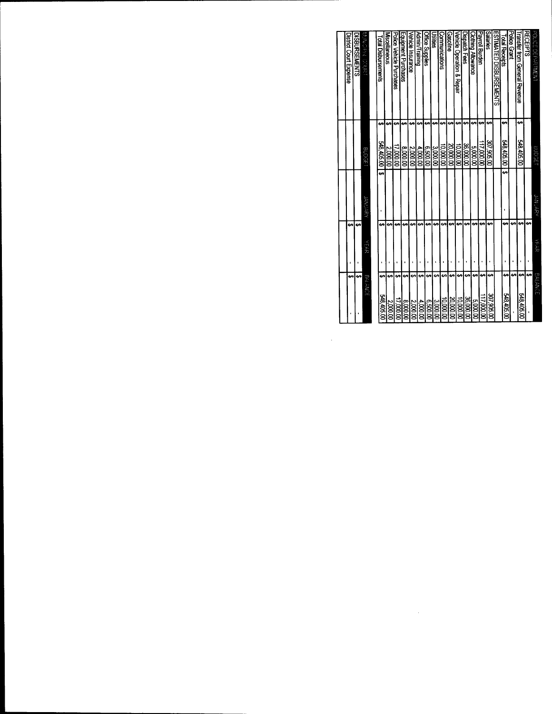| <b>BALANCE</b>         | YEAR    |    | <b>JANUARY</b> | <b>BUDGE1</b>           |    | <b>BINGINAL COURT</b>        |
|------------------------|---------|----|----------------|-------------------------|----|------------------------------|
|                        |         |    |                |                         |    |                              |
| en<br>548,405.0        |         | မာ | ഄ              | 548,405.00              |    | Total Disbursements          |
| မာ<br>2,000.00         |         | မာ |                | 2,000.00                |    | Miscellaneous                |
| 69<br>17,000.00        |         | ഗ  |                | 00'000'ZI               |    | Police Vehicle Purchases     |
| e<br>000008            |         | ⇔  |                | 8,000.00                | မာ | Equipment Purchases          |
| မာ<br>2,000.00         |         | 49 |                | 2,000.00                | ç, | Vehicle Insurance            |
| G٩<br>4,000.00         |         | 69 |                | 4,000.00                | e۹ | <b>Community</b>             |
| G.<br>00.00.00         |         | ↮  |                | 00'00'9                 | မာ | <b>Office Supplies</b>       |
| 3,000.00               |         | မာ |                | 3,000.00                | ć۵ | Jilibes                      |
| 10,000.00              | မာ      | မာ |                | 00.000.00               | ŧΑ | Communications               |
| 69<br><b>20,000.00</b> |         | ഗ  |                | 00.000.00               |    | <b>Sasoline</b>              |
| 00.000,00              | GA.     | Ġ9 |                | 00'000'01               | ⇔  | Vehicle Oberation & Repair   |
| <b>36,000.00</b>       | €A      | မာ |                | 36,000.00               |    | <b>Nispatch Fees</b>         |
| 3,000.00               | e٩      | 69 |                | 00000                   | မာ | Clothing Allowance           |
| 17,000.00              | £٩      |    |                | 00'000' $\overline{11}$ | မာ | Payroll Burden               |
| 201,906.00             | မာ      | €A |                | 305,906.00              | ÷, | Salaries                     |
|                        |         |    |                |                         |    | ESTIMATED DISBURSEMENTS      |
| 548,405.00             | 69      | €9 | ÷۰<br>٠        | 548,405.00              | ⇔  | <b>Total Receipts</b>        |
|                        |         | မာ |                |                         |    | Police Grant                 |
| 548,405.00             | ı<br>e٩ | ఈ  |                | 548,405.00              | G٩ | ransfer from General Revenue |
|                        | e۶      | ⊷  |                |                         |    | <b>RECEIPTS</b>              |
| <b>BALANGE</b>         | ベール     |    | <b>JANJARY</b> | 9000151                 |    | POLICE DEPARTMENT            |

 $\label{eq:2.1} \frac{1}{\sqrt{2}}\int_{\mathbb{R}^3}\frac{1}{\sqrt{2}}\left(\frac{1}{\sqrt{2}}\right)^2\frac{1}{\sqrt{2}}\left(\frac{1}{\sqrt{2}}\right)^2\frac{1}{\sqrt{2}}\left(\frac{1}{\sqrt{2}}\right)^2\frac{1}{\sqrt{2}}\left(\frac{1}{\sqrt{2}}\right)^2.$ 

 $\mathcal{L}^{\text{max}}_{\text{max}}$  and  $\mathcal{L}^{\text{max}}_{\text{max}}$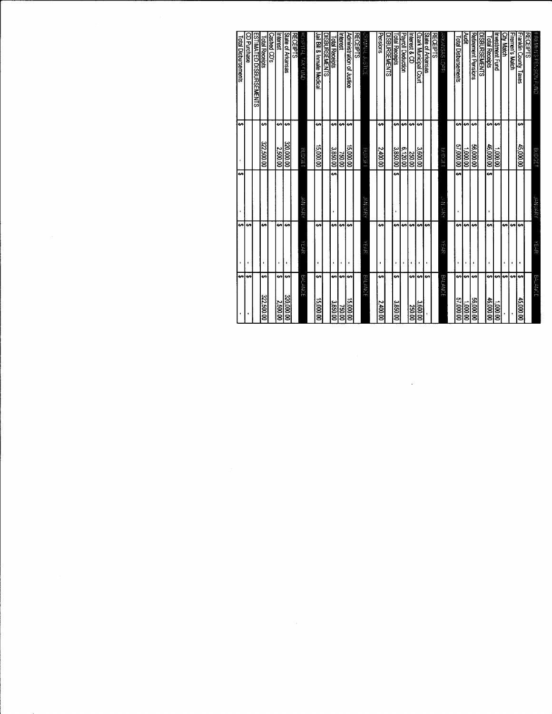|                        |                        |              |                       | Total Disbursements        |
|------------------------|------------------------|--------------|-----------------------|----------------------------|
| e,                     | ↔<br>$\bullet$         | ⇔            | ↮                     |                            |
| lی                     | ₩                      |              |                       | CD Purchase                |
|                        |                        |              |                       | ESTIMATED DISBURSENERS     |
| ↮<br>322,500.00        | မာ                     |              | မာ<br>0009222         | <b>Total Receipts</b>      |
|                        |                        |              |                       | ashed CD's                 |
| ₩<br>2,500.00          | ↔                      |              | ↮<br>2,500.00         | Interest                   |
| ⊷<br>320,000.00        | e<br>×                 |              | €A<br>320,000.00      | State of Arkansas          |
|                        |                        |              |                       | <b>RECEIPTS</b>            |
| BALANCE                | YEAR                   | こところ         | <b>BOOGET</b>         | HOSPITAL TAX FUND          |
|                        |                        |              |                       |                            |
| ÷,<br>000009100        | ↔                      |              | ⊷<br>00'000'51        | lail Bill & Inmate Medical |
|                        |                        |              |                       | <b>DISBURSEMENTS</b>       |
| وي<br>3,850.00         | ⊷                      | မာ           | ↮<br>3,850.00         | <b>Total Receipts</b>      |
| e۵<br><b>750.00</b>    | أونه<br>$\blacksquare$ |              | ↮<br>00'092           | neres                      |
| ۰e<br>00009            | ص                      |              | e۶<br>15,000.00       | Administration of Justice  |
|                        |                        |              |                       | <b>RECEIPTS</b>            |
| <b>BALANCE</b>         | YEAR                   | ianuary      | LESCIFIN              | <b>POLISOF TYNINICO</b>    |
|                        |                        |              |                       |                            |
| ⊷<br>2,400.00          | ↮<br>٠                 |              | မာ<br>2,400.00        | Pensions                   |
|                        |                        |              |                       | <b>DISBURSEMENTS</b>       |
| e<br>3,850.00          | ↔                      | e۹           | ⊷<br>3,850.00         | <b>Total Receipts</b>      |
|                        | ↔                      |              | ↮<br>6,120.00         | Payroll Deduction          |
| اھە<br>250.00          | ⊷                      |              | ഗ<br>250.00           | nterest & CD               |
| ÷.<br>3,600.00         | ÷,                     |              | ⊷<br>3,600.00         | Ozark Municipal Court      |
| <b>SA</b>              | €                      |              |                       | State of Arkansas          |
|                        |                        |              |                       | <b>RECEIPTS</b>            |
| <b>BALANCE</b>         | YEAR                   | 인<br>사망(TAS) | <b>BUDGET</b>         | <b>ARKANSAS LOPFI</b>      |
|                        |                        |              |                       |                            |
| €<br>00'000'29         | မာ<br>Ĭ.               | <del>ی</del> | မာ<br>00 000 25       | Total Disbursements        |
| ↮<br>00.000.1          | ÷,                     |              | <b>GA</b><br>00'000'L | ≹                          |
| ŧ۵<br>00'000'99        | مه                     |              | ↮<br>00'000'95        | Retirement Pensions        |
|                        |                        |              |                       | <b>DISBURSEMENTS</b>       |
| ÷,<br>46,000.00        | €<br>f.                | ÷۰           | ÷<br>46,000.00        | Total Receipts             |
| မာ<br>00.000.1         |                        |              | ⊷<br>00'000'          | Investment Fund            |
| ⊷                      | ⊷                      |              |                       | <b>City Match</b>          |
| ↮                      | احه                    |              |                       | <b>Firemen's Match</b>     |
| $\bullet$<br>45,000.00 | ⇔<br>$\bullet$         |              | မာ<br>45,000.00       | Franklin County Taxes      |
|                        |                        |              |                       | <b>RECEIPTS</b>            |
| <b>BALANCE</b>         | YEAR                   | JANUARY      | Bupger                | EIREMEN'S PENSION FUND     |

 $\label{eq:2.1} \frac{1}{\sqrt{2}}\int_{\mathbb{R}^3}\frac{1}{\sqrt{2}}\left(\frac{1}{\sqrt{2}}\right)^2\frac{1}{\sqrt{2}}\left(\frac{1}{\sqrt{2}}\right)^2\frac{1}{\sqrt{2}}\left(\frac{1}{\sqrt{2}}\right)^2.$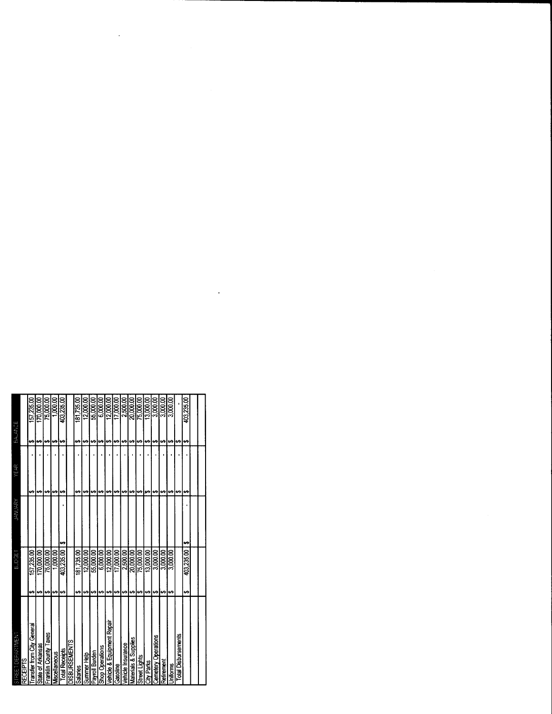| STREET DEPARTMENT          | <b>BJDGET</b>    | JANUARY | YEAR | BALANCE          |            |
|----------------------------|------------------|---------|------|------------------|------------|
| <b>RECEIPTS</b>            |                  |         |      |                  |            |
| Transfer from City General | 157,235.00       |         |      | ⊷                | 157,235.00 |
| State of Arkansas          | 170,000.00<br>မာ |         | 69   | မာ့              | 170,000.00 |
| Franklin County Taxes      | 75,000.00<br>မာ  |         | မာ   | မာ               | 75,000.00  |
| Miscellaneous              | 1,000.00<br>မာ   |         | မာ   | ↮                | 1,000.00   |
| <b>Total Receipts</b>      | 403,235.00<br>49 | t,      | မာ   | 403,235.00<br>69 |            |
| <b>DISBURSEMENTS</b>       |                  |         |      |                  |            |
| Salaries                   | 181.735.00<br>မာ |         |      | 181.735.00<br>မာ |            |
| Summer Help                | 12,000.00<br>မာ  |         | မာ   | မာ               | 12,000.00  |
| Payroll Burden             | 55,000.00<br>မာ  |         | ഗ    | မာ့              | 55.000.00  |
| <b>Shop Operations</b>     | 6,000.00<br>မာ   |         | မာ   | မာ               | 6.000.00   |
| Vehicle & Equipment Repair | 12.000.00<br>બ   |         | မာ   | မာ               | 12.000.00  |
| Gasoline                   | 17,000.00<br>₩   |         | မာ   | ശ                | 17,000.00  |
| Vehicle Insurance          | 2.500.00<br>မာ   |         | ഗ    | မာ               | 2.500.00   |
| Materials & Supplies       | 20.000.00<br>↮   |         |      | မာ               | 20,000.00  |
| Street Lights              | 75,000.00        |         |      |                  | 75,000.00  |
| City Parks                 | 13,000.00<br>↔   |         |      |                  | 13,000,00  |
| <b>Cemetery Operations</b> | 3.000.00         |         |      |                  | 3,000.00   |
| <b>Retirement</b>          | 3.000,00         |         | မာ   |                  | 3,000.00   |
| Uniforms                   | 3,000.00         |         | tA.  | 46               | 3,000.00   |
| <b>Total Disbursements</b> |                  |         |      | ÷۹               |            |
|                            | 403,235.00<br>မာ | H)      | ٤A   | 403,235.00<br>وی |            |
|                            |                  |         |      |                  |            |
|                            |                  |         |      |                  |            |
|                            |                  |         |      |                  |            |

 $\label{eq:2.1} \mathcal{L}(\mathcal{L}^{\mathcal{L}}_{\mathcal{L}}(\mathcal{L}^{\mathcal{L}}_{\mathcal{L}})) \leq \mathcal{L}(\mathcal{L}^{\mathcal{L}}_{\mathcal{L}}(\mathcal{L}^{\mathcal{L}}_{\mathcal{L}})) \leq \mathcal{L}(\mathcal{L}^{\mathcal{L}}_{\mathcal{L}}(\mathcal{L}^{\mathcal{L}}_{\mathcal{L}}))$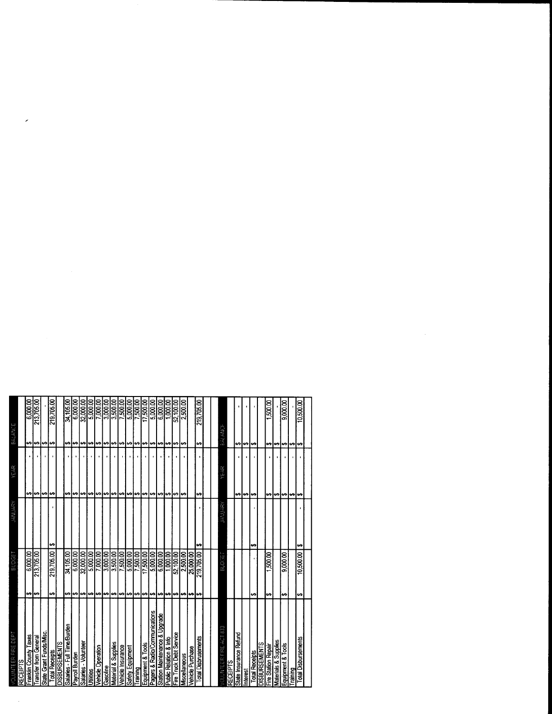| 219,705.00<br>6,000.00<br>213,705.00<br>34,105.00<br>6,000.00<br>32,000.00<br>7,000.00<br>3,000.00<br>3,500.00<br>7,500.00<br>5,000.00<br>7,500.00<br>17,500.00<br>2,500.00<br>219,705.00<br><u>2000 to</u><br>6,000.00<br>52,100.00<br>5,000.00<br>1,000.00<br>9,000.00<br>10,500.00<br>1,500.00<br><b>BALANCE</b><br><del>ی</del><br>es.<br>မာမြာ<br>⊷<br>₩<br>⊷<br>₩<br>⊷<br>69<br>⊷<br>မာမြာ<br>$\leftrightarrow$<br>69<br>⊷<br>⇔<br>↮<br>إجبه<br>₩<br>$\leftrightarrow$<br>₩<br>↮<br>↮<br>چے<br>⊷<br>⊷<br>↮<br>₩<br>YEAR<br>↮<br>↮<br>မာ<br>မာ<br>⊷<br>s,<br>⊷<br>۰<br>⊷<br>မာ<br>↮<br>₩<br>⊷<br>⊷<br>₩<br> ↔<br>s,<br>÷<br>⇔<br>₩<br>⊷<br>⊷<br>⊷<br>⊷<br>⊷<br>₩<br>₩<br>↮<br>مە<br>JANUARY<br>ï<br>t۵<br>H<br>ŧ٩<br>⊷<br>219,705.00<br>219.705.00<br>3,000.00<br>3,500.00<br>7,500.00<br>10,500.00<br>6,000.00<br>213,705.00<br>34,105.00<br>32.000.00<br>7,000.00<br>5,000.00<br>5,000.00<br>7,500.00<br>17,500.00<br>1,000.00<br>52.100.00<br>2,500.00<br>25.000.00<br>6,000.00<br>5,000.00<br>6,000.00<br>1,500.00<br>9,000.00<br>BUDGET<br>÷<br>₩<br>₩<br>₩<br>₩<br>↮<br>မာ<br>¢<br>↮<br>↮<br>↮<br>↔<br>မာ<br>မာ<br>မာ<br>မာမြာ<br>۰<br>⊷<br>⊷<br>မာ<br>₩<br>tA<br>49<br>↔<br>Pagers & Radio/Communications<br>Station Maintenance & Upgrade<br>Salaries - Full Time/Burden<br><b>/OLUNTEER FIRE-ACT 833</b><br>State Grant Funds/Misc.<br>Fire Truck Debt Service<br>State Insurance Refund<br>Franklin County Taxes<br>Transfer from General<br><b>Total Disbrusements</b><br><b>Total Disbursements</b><br><b>Public Relation &amp; Info</b><br>Materials & Supplies<br>Salaries - Volunteer<br><b>DISBURSEMENTS</b><br>Material & Supplies<br>Equipment & Tools<br><b>JISBURSEMENTS</b><br>Equipment & Tools<br><b>Tire Station Repair</b><br>Vehicle Insurance<br><b>Vehicle Operation</b><br>Safety Equipment<br>Vehicle Purchase<br><b>Total Receipts</b><br><b>Total Receipts</b><br>Payroll Burden<br>Viscellaneous<br><b>RECEIPTS</b><br>Gasoline<br>Training<br>Training<br>Interest<br>Utilities | /OLUNTEER FIRE DEPT<br><b>RECEIPTS</b> | BUDGE <sup>-</sup> | YSKUNAN | YEAR | BALANCE |
|------------------------------------------------------------------------------------------------------------------------------------------------------------------------------------------------------------------------------------------------------------------------------------------------------------------------------------------------------------------------------------------------------------------------------------------------------------------------------------------------------------------------------------------------------------------------------------------------------------------------------------------------------------------------------------------------------------------------------------------------------------------------------------------------------------------------------------------------------------------------------------------------------------------------------------------------------------------------------------------------------------------------------------------------------------------------------------------------------------------------------------------------------------------------------------------------------------------------------------------------------------------------------------------------------------------------------------------------------------------------------------------------------------------------------------------------------------------------------------------------------------------------------------------------------------------------------------------------------------------------------------------------------------------------------------------------------------------------------------------------------------------------------------------------------------------------------------------------------------------------------------------------------------------------------------------------------------------------------------------------------------------------|----------------------------------------|--------------------|---------|------|---------|
|                                                                                                                                                                                                                                                                                                                                                                                                                                                                                                                                                                                                                                                                                                                                                                                                                                                                                                                                                                                                                                                                                                                                                                                                                                                                                                                                                                                                                                                                                                                                                                                                                                                                                                                                                                                                                                                                                                                                                                                                                        |                                        |                    |         |      |         |
|                                                                                                                                                                                                                                                                                                                                                                                                                                                                                                                                                                                                                                                                                                                                                                                                                                                                                                                                                                                                                                                                                                                                                                                                                                                                                                                                                                                                                                                                                                                                                                                                                                                                                                                                                                                                                                                                                                                                                                                                                        |                                        |                    |         |      |         |
|                                                                                                                                                                                                                                                                                                                                                                                                                                                                                                                                                                                                                                                                                                                                                                                                                                                                                                                                                                                                                                                                                                                                                                                                                                                                                                                                                                                                                                                                                                                                                                                                                                                                                                                                                                                                                                                                                                                                                                                                                        |                                        |                    |         |      |         |
|                                                                                                                                                                                                                                                                                                                                                                                                                                                                                                                                                                                                                                                                                                                                                                                                                                                                                                                                                                                                                                                                                                                                                                                                                                                                                                                                                                                                                                                                                                                                                                                                                                                                                                                                                                                                                                                                                                                                                                                                                        |                                        |                    |         |      |         |
|                                                                                                                                                                                                                                                                                                                                                                                                                                                                                                                                                                                                                                                                                                                                                                                                                                                                                                                                                                                                                                                                                                                                                                                                                                                                                                                                                                                                                                                                                                                                                                                                                                                                                                                                                                                                                                                                                                                                                                                                                        |                                        |                    |         |      |         |
|                                                                                                                                                                                                                                                                                                                                                                                                                                                                                                                                                                                                                                                                                                                                                                                                                                                                                                                                                                                                                                                                                                                                                                                                                                                                                                                                                                                                                                                                                                                                                                                                                                                                                                                                                                                                                                                                                                                                                                                                                        |                                        |                    |         |      |         |
|                                                                                                                                                                                                                                                                                                                                                                                                                                                                                                                                                                                                                                                                                                                                                                                                                                                                                                                                                                                                                                                                                                                                                                                                                                                                                                                                                                                                                                                                                                                                                                                                                                                                                                                                                                                                                                                                                                                                                                                                                        |                                        |                    |         |      |         |
|                                                                                                                                                                                                                                                                                                                                                                                                                                                                                                                                                                                                                                                                                                                                                                                                                                                                                                                                                                                                                                                                                                                                                                                                                                                                                                                                                                                                                                                                                                                                                                                                                                                                                                                                                                                                                                                                                                                                                                                                                        |                                        |                    |         |      |         |
|                                                                                                                                                                                                                                                                                                                                                                                                                                                                                                                                                                                                                                                                                                                                                                                                                                                                                                                                                                                                                                                                                                                                                                                                                                                                                                                                                                                                                                                                                                                                                                                                                                                                                                                                                                                                                                                                                                                                                                                                                        |                                        |                    |         |      |         |
|                                                                                                                                                                                                                                                                                                                                                                                                                                                                                                                                                                                                                                                                                                                                                                                                                                                                                                                                                                                                                                                                                                                                                                                                                                                                                                                                                                                                                                                                                                                                                                                                                                                                                                                                                                                                                                                                                                                                                                                                                        |                                        |                    |         |      |         |
|                                                                                                                                                                                                                                                                                                                                                                                                                                                                                                                                                                                                                                                                                                                                                                                                                                                                                                                                                                                                                                                                                                                                                                                                                                                                                                                                                                                                                                                                                                                                                                                                                                                                                                                                                                                                                                                                                                                                                                                                                        |                                        |                    |         |      |         |
|                                                                                                                                                                                                                                                                                                                                                                                                                                                                                                                                                                                                                                                                                                                                                                                                                                                                                                                                                                                                                                                                                                                                                                                                                                                                                                                                                                                                                                                                                                                                                                                                                                                                                                                                                                                                                                                                                                                                                                                                                        |                                        |                    |         |      |         |
|                                                                                                                                                                                                                                                                                                                                                                                                                                                                                                                                                                                                                                                                                                                                                                                                                                                                                                                                                                                                                                                                                                                                                                                                                                                                                                                                                                                                                                                                                                                                                                                                                                                                                                                                                                                                                                                                                                                                                                                                                        |                                        |                    |         |      |         |
|                                                                                                                                                                                                                                                                                                                                                                                                                                                                                                                                                                                                                                                                                                                                                                                                                                                                                                                                                                                                                                                                                                                                                                                                                                                                                                                                                                                                                                                                                                                                                                                                                                                                                                                                                                                                                                                                                                                                                                                                                        |                                        |                    |         |      |         |
|                                                                                                                                                                                                                                                                                                                                                                                                                                                                                                                                                                                                                                                                                                                                                                                                                                                                                                                                                                                                                                                                                                                                                                                                                                                                                                                                                                                                                                                                                                                                                                                                                                                                                                                                                                                                                                                                                                                                                                                                                        |                                        |                    |         |      |         |
|                                                                                                                                                                                                                                                                                                                                                                                                                                                                                                                                                                                                                                                                                                                                                                                                                                                                                                                                                                                                                                                                                                                                                                                                                                                                                                                                                                                                                                                                                                                                                                                                                                                                                                                                                                                                                                                                                                                                                                                                                        |                                        |                    |         |      |         |
|                                                                                                                                                                                                                                                                                                                                                                                                                                                                                                                                                                                                                                                                                                                                                                                                                                                                                                                                                                                                                                                                                                                                                                                                                                                                                                                                                                                                                                                                                                                                                                                                                                                                                                                                                                                                                                                                                                                                                                                                                        |                                        |                    |         |      |         |
|                                                                                                                                                                                                                                                                                                                                                                                                                                                                                                                                                                                                                                                                                                                                                                                                                                                                                                                                                                                                                                                                                                                                                                                                                                                                                                                                                                                                                                                                                                                                                                                                                                                                                                                                                                                                                                                                                                                                                                                                                        |                                        |                    |         |      |         |
|                                                                                                                                                                                                                                                                                                                                                                                                                                                                                                                                                                                                                                                                                                                                                                                                                                                                                                                                                                                                                                                                                                                                                                                                                                                                                                                                                                                                                                                                                                                                                                                                                                                                                                                                                                                                                                                                                                                                                                                                                        |                                        |                    |         |      |         |
|                                                                                                                                                                                                                                                                                                                                                                                                                                                                                                                                                                                                                                                                                                                                                                                                                                                                                                                                                                                                                                                                                                                                                                                                                                                                                                                                                                                                                                                                                                                                                                                                                                                                                                                                                                                                                                                                                                                                                                                                                        |                                        |                    |         |      |         |
|                                                                                                                                                                                                                                                                                                                                                                                                                                                                                                                                                                                                                                                                                                                                                                                                                                                                                                                                                                                                                                                                                                                                                                                                                                                                                                                                                                                                                                                                                                                                                                                                                                                                                                                                                                                                                                                                                                                                                                                                                        |                                        |                    |         |      |         |
|                                                                                                                                                                                                                                                                                                                                                                                                                                                                                                                                                                                                                                                                                                                                                                                                                                                                                                                                                                                                                                                                                                                                                                                                                                                                                                                                                                                                                                                                                                                                                                                                                                                                                                                                                                                                                                                                                                                                                                                                                        |                                        |                    |         |      |         |
|                                                                                                                                                                                                                                                                                                                                                                                                                                                                                                                                                                                                                                                                                                                                                                                                                                                                                                                                                                                                                                                                                                                                                                                                                                                                                                                                                                                                                                                                                                                                                                                                                                                                                                                                                                                                                                                                                                                                                                                                                        |                                        |                    |         |      |         |
|                                                                                                                                                                                                                                                                                                                                                                                                                                                                                                                                                                                                                                                                                                                                                                                                                                                                                                                                                                                                                                                                                                                                                                                                                                                                                                                                                                                                                                                                                                                                                                                                                                                                                                                                                                                                                                                                                                                                                                                                                        |                                        |                    |         |      |         |
|                                                                                                                                                                                                                                                                                                                                                                                                                                                                                                                                                                                                                                                                                                                                                                                                                                                                                                                                                                                                                                                                                                                                                                                                                                                                                                                                                                                                                                                                                                                                                                                                                                                                                                                                                                                                                                                                                                                                                                                                                        |                                        |                    |         |      |         |
|                                                                                                                                                                                                                                                                                                                                                                                                                                                                                                                                                                                                                                                                                                                                                                                                                                                                                                                                                                                                                                                                                                                                                                                                                                                                                                                                                                                                                                                                                                                                                                                                                                                                                                                                                                                                                                                                                                                                                                                                                        |                                        |                    |         |      |         |
|                                                                                                                                                                                                                                                                                                                                                                                                                                                                                                                                                                                                                                                                                                                                                                                                                                                                                                                                                                                                                                                                                                                                                                                                                                                                                                                                                                                                                                                                                                                                                                                                                                                                                                                                                                                                                                                                                                                                                                                                                        |                                        |                    |         |      |         |
|                                                                                                                                                                                                                                                                                                                                                                                                                                                                                                                                                                                                                                                                                                                                                                                                                                                                                                                                                                                                                                                                                                                                                                                                                                                                                                                                                                                                                                                                                                                                                                                                                                                                                                                                                                                                                                                                                                                                                                                                                        |                                        |                    |         |      |         |
|                                                                                                                                                                                                                                                                                                                                                                                                                                                                                                                                                                                                                                                                                                                                                                                                                                                                                                                                                                                                                                                                                                                                                                                                                                                                                                                                                                                                                                                                                                                                                                                                                                                                                                                                                                                                                                                                                                                                                                                                                        |                                        |                    |         |      |         |
|                                                                                                                                                                                                                                                                                                                                                                                                                                                                                                                                                                                                                                                                                                                                                                                                                                                                                                                                                                                                                                                                                                                                                                                                                                                                                                                                                                                                                                                                                                                                                                                                                                                                                                                                                                                                                                                                                                                                                                                                                        |                                        |                    |         |      |         |
|                                                                                                                                                                                                                                                                                                                                                                                                                                                                                                                                                                                                                                                                                                                                                                                                                                                                                                                                                                                                                                                                                                                                                                                                                                                                                                                                                                                                                                                                                                                                                                                                                                                                                                                                                                                                                                                                                                                                                                                                                        |                                        |                    |         |      |         |
|                                                                                                                                                                                                                                                                                                                                                                                                                                                                                                                                                                                                                                                                                                                                                                                                                                                                                                                                                                                                                                                                                                                                                                                                                                                                                                                                                                                                                                                                                                                                                                                                                                                                                                                                                                                                                                                                                                                                                                                                                        |                                        |                    |         |      |         |
|                                                                                                                                                                                                                                                                                                                                                                                                                                                                                                                                                                                                                                                                                                                                                                                                                                                                                                                                                                                                                                                                                                                                                                                                                                                                                                                                                                                                                                                                                                                                                                                                                                                                                                                                                                                                                                                                                                                                                                                                                        |                                        |                    |         |      |         |
|                                                                                                                                                                                                                                                                                                                                                                                                                                                                                                                                                                                                                                                                                                                                                                                                                                                                                                                                                                                                                                                                                                                                                                                                                                                                                                                                                                                                                                                                                                                                                                                                                                                                                                                                                                                                                                                                                                                                                                                                                        |                                        |                    |         |      |         |
|                                                                                                                                                                                                                                                                                                                                                                                                                                                                                                                                                                                                                                                                                                                                                                                                                                                                                                                                                                                                                                                                                                                                                                                                                                                                                                                                                                                                                                                                                                                                                                                                                                                                                                                                                                                                                                                                                                                                                                                                                        |                                        |                    |         |      |         |
|                                                                                                                                                                                                                                                                                                                                                                                                                                                                                                                                                                                                                                                                                                                                                                                                                                                                                                                                                                                                                                                                                                                                                                                                                                                                                                                                                                                                                                                                                                                                                                                                                                                                                                                                                                                                                                                                                                                                                                                                                        |                                        |                    |         |      |         |
|                                                                                                                                                                                                                                                                                                                                                                                                                                                                                                                                                                                                                                                                                                                                                                                                                                                                                                                                                                                                                                                                                                                                                                                                                                                                                                                                                                                                                                                                                                                                                                                                                                                                                                                                                                                                                                                                                                                                                                                                                        |                                        |                    |         |      |         |
|                                                                                                                                                                                                                                                                                                                                                                                                                                                                                                                                                                                                                                                                                                                                                                                                                                                                                                                                                                                                                                                                                                                                                                                                                                                                                                                                                                                                                                                                                                                                                                                                                                                                                                                                                                                                                                                                                                                                                                                                                        |                                        |                    |         |      |         |

 $\sigma_{\rm{max}}$ 

 $\sim$   $\sim$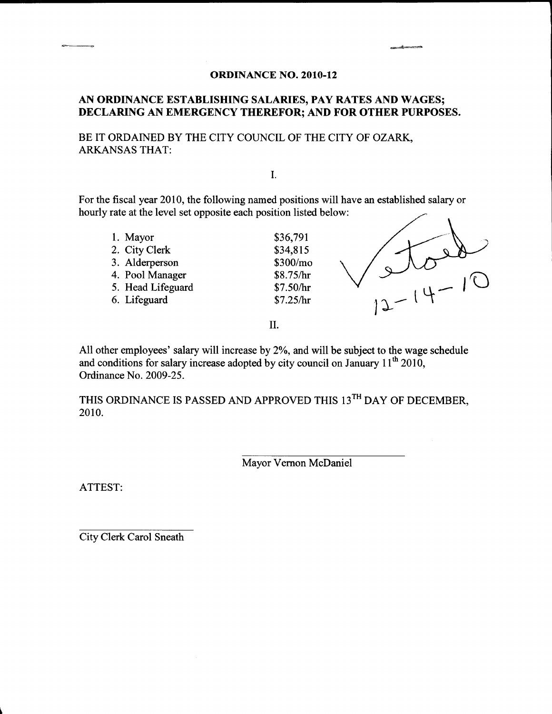## AN ORDINANCE ESTABLISHING SALARIES, PAY RATES AND WAGES; DECLARING AN EMERGENCY THEREFOR; AND FOR OTHER PURPOSES.

BE IT ORDAINED BY THE CITY COUNCIL OF THE CITY OF OZARK, ARKANSAS THAT:

I.

For the fiscal year 2010, the following named positions will have an established salary or hourly rate at the level set opposite each position listed below:

1. Mayor \$36,791 2. City Clerk \$34,815 3. Alderperson \$300/mo 4. Pool Manager \$8.75/hr 5. Head Lifeguard  $$7.50/hr$ 6. Lifeguard  $$7.25/hr$   $12.7$ 



II.

All other employees' salary will increase by 2%, and will be subject to the wage schedule and conditions for salary increase adopted by city council on January  $11<sup>th</sup> 2010$ Ordinance No. 2009-25.

THIS ORDINANCE IS PASSED AND APPROVED THIS 13<sup>TH</sup> DAY OF DECEMBER, 2010.

Mayor Vernon McDaniel

ATTEST:

1

City Clerk Carol Sneath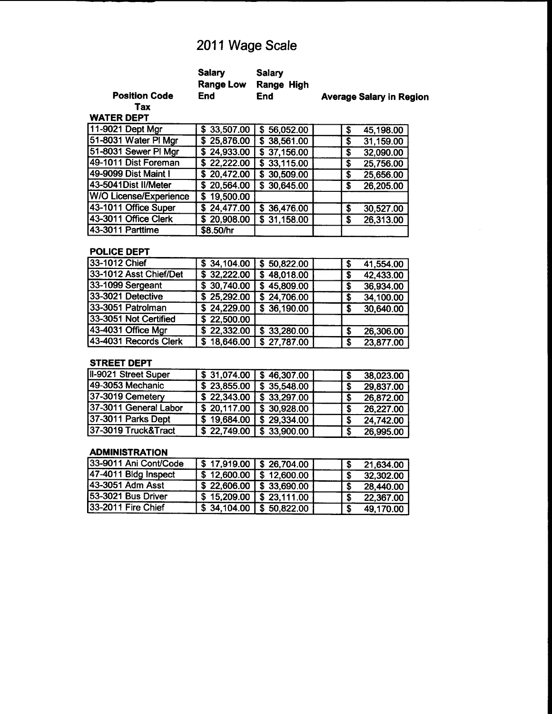# 2011 Wage Scale

|                      | <b>Salary</b> | Salarv<br>Range Low Range High |                                 |
|----------------------|---------------|--------------------------------|---------------------------------|
| <b>Position Code</b> | End           | <b>End</b>                     | <b>Average Salary in Region</b> |

Tax WATER DEPT

| \$33,507.00              | \$56,052.00 | \$ | 45,198.00 |
|--------------------------|-------------|----|-----------|
| \$25,876.00              | \$38,561.00 | Ş  | 31,159.00 |
| \$24,933.00              | \$37,156.00 | S  | 32,090.00 |
| \$22,222.00              | \$33,115.00 | \$ | 25,756.00 |
|                          | \$30,509.00 | S  | 25,656.00 |
| \$20,564.00              | \$30,645.00 | S  | 26,205.00 |
| 19,500.00<br>S.          |             |    |           |
| \$24,477.00              | \$36,476.00 | S  | 30,527.00 |
| $\overline{$}$ 20,908.00 | \$31,158.00 | \$ | 26,313.00 |
| \$8.50/hr                |             |    |           |
|                          | \$20,472.00 |    |           |

#### POLICE DEPT

| \$34,104.00              | \$50,822.00 |    | 41,554.00 |
|--------------------------|-------------|----|-----------|
|                          | \$48,018.00 |    | 42,433.00 |
| \$30,740.00              | \$45,809.00 |    | 36,934.00 |
| $\overline{$}$ 25,292.00 | \$24,706.00 |    | 34,100.00 |
| \$24,229.00              | \$36,190.00 |    | 30,640.00 |
| \$22,500.00              |             |    |           |
| \$22,332.00              | \$33,280.00 | -S | 26,306.00 |
| \$18,646.00              | \$27,787.00 | £. | 23,877.00 |
|                          | \$32,222.00 |    |           |

#### STREET DEPT

| II-9021 Street Super  | \$31,074.00 | $\sqrt{5}$ 46,307.00 | l S | 38,023.00 |
|-----------------------|-------------|----------------------|-----|-----------|
| 49-3053 Mechanic      | \$23,855.00 | \$35,548.00          |     | 29,837.00 |
| 37-3019 Cemetery      | \$22,343.00 | \$33,297.00          |     | 26,872.00 |
| 37-3011 General Labor | \$20,117.00 | \$30,928.00          |     | 26,227.00 |
| 37-3011 Parks Dept    | \$19,684.00 | \$29,334.00          |     | 24,742.00 |
| 37-3019 Truck&Tract   | \$22,749.00 | \$33,900.00          |     | 26,995.00 |

#### ADMINISTRATION

| 33-9011 Ani Cont/Code | $\sqrt{8}$ 17,919.00 $\sqrt{8}$ 26,704.00             |      | 21,634.00 |
|-----------------------|-------------------------------------------------------|------|-----------|
| 47-4011 Bldg Inspect  | $\frac{1}{2}$ \$ 12,600.00 $\frac{1}{2}$ \$ 12,600.00 |      | 32,302.00 |
| 43-3051 Adm Asst      | $\sqrt{22,606.00}$ \$ 33,690.00                       |      | 28,440.00 |
| 53-3021 Bus Driver    | $\sqrt{3}$ 15,209.00 $\sqrt{3}$ 23,111.00             |      | 22,367.00 |
| 33-2011 Fire Chief    | $\frac{1}{3}$ 34,104.00 \ \$ 50,822.00                | - \$ | 49,170.00 |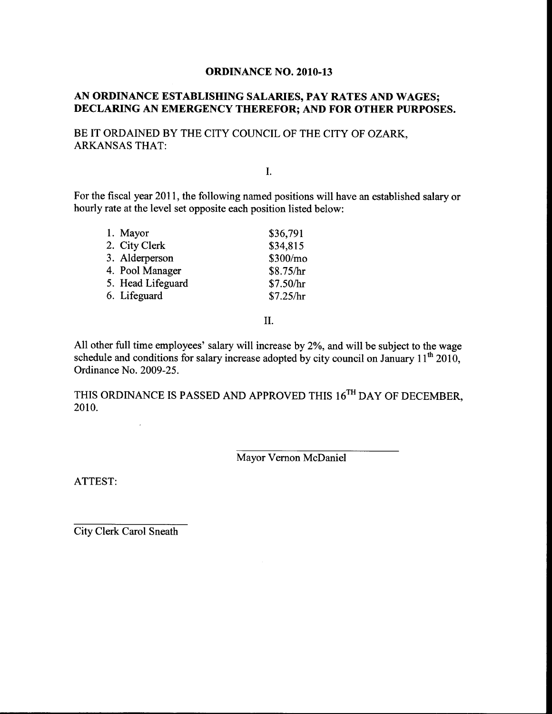### AN ORDINANCE ESTABLISHING SALARIES, PAY RATES AND WAGES; DECLARING AN EMERGENCY THEREFOR; AND FOR OTHER PURPOSES.

BE IT ORDAINED BY THE CITY COUNCIL OF THE CITY OF OZARK, ARKANSAS THAT:

I.

For the fiscal year 2011, the following named positions will have an established salary or hourly rate at the level set opposite each position listed below:

| 1. Mayor          | \$36,791  |
|-------------------|-----------|
| 2. City Clerk     | \$34,815  |
| 3. Alderperson    | \$300/mo  |
| 4. Pool Manager   | \$8.75/hr |
| 5. Head Lifeguard | \$7.50/hr |
| 6. Lifeguard      | \$7.25/hr |
|                   |           |

II.

All other full time employees' salary will increase by 2%, and will be subject to the wage schedule and conditions for salary increase adopted by city council on January  $11<sup>th</sup> 2010$ , Ordinance No. 2009-25.

THIS ORDINANCE IS PASSED AND APPROVED THIS 16<sup>TH</sup> DAY OF DECEMBER, 2010.

Mayor Vernon McDaniel

ATTEST:

City Clerk Carol Sneath